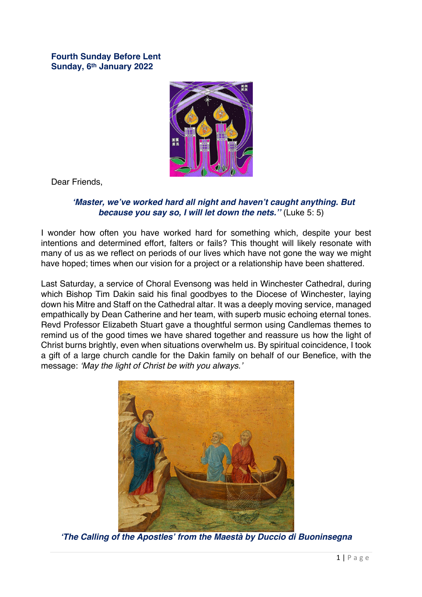**Fourth Sunday Before Lent Sunday, 6th January 2022**



Dear Friends,

#### *'Master, we've worked hard all night and haven't caught anything. But because you say so, I will let down the nets.''* (Luke 5: 5)

I wonder how often you have worked hard for something which, despite your best intentions and determined effort, falters or fails? This thought will likely resonate with many of us as we reflect on periods of our lives which have not gone the way we might have hoped; times when our vision for a project or a relationship have been shattered.

Last Saturday, a service of Choral Evensong was held in Winchester Cathedral, during which Bishop Tim Dakin said his final goodbyes to the Diocese of Winchester, laying down his Mitre and Staff on the Cathedral altar. It was a deeply moving service, managed empathically by Dean Catherine and her team, with superb music echoing eternal tones. Revd Professor Elizabeth Stuart gave a thoughtful sermon using Candlemas themes to remind us of the good times we have shared together and reassure us how the light of Christ burns brightly, even when situations overwhelm us. By spiritual coincidence, I took a gift of a large church candle for the Dakin family on behalf of our Benefice, with the message: *'May the light of Christ be with you always.'* 



*'The Calling of the Apostles' from the Maestà by Duccio di Buoninsegna*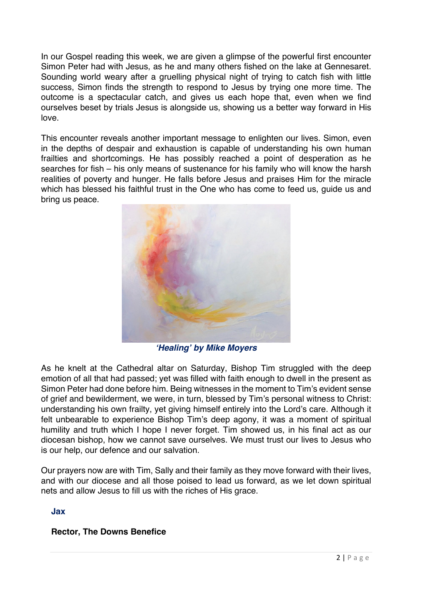In our Gospel reading this week, we are given a glimpse of the powerful first encounter Simon Peter had with Jesus, as he and many others fished on the lake at Gennesaret. Sounding world weary after a gruelling physical night of trying to catch fish with little success, Simon finds the strength to respond to Jesus by trying one more time. The outcome is a spectacular catch, and gives us each hope that, even when we find ourselves beset by trials Jesus is alongside us, showing us a better way forward in His love.

This encounter reveals another important message to enlighten our lives. Simon, even in the depths of despair and exhaustion is capable of understanding his own human frailties and shortcomings. He has possibly reached a point of desperation as he searches for fish – his only means of sustenance for his family who will know the harsh realities of poverty and hunger. He falls before Jesus and praises Him for the miracle which has blessed his faithful trust in the One who has come to feed us, guide us and bring us peace.



*'Healing' by Mike Moyers*

As he knelt at the Cathedral altar on Saturday, Bishop Tim struggled with the deep emotion of all that had passed; yet was filled with faith enough to dwell in the present as Simon Peter had done before him. Being witnesses in the moment to Tim's evident sense of grief and bewilderment, we were, in turn, blessed by Tim's personal witness to Christ: understanding his own frailty, yet giving himself entirely into the Lord's care. Although it felt unbearable to experience Bishop Tim's deep agony, it was a moment of spiritual humility and truth which I hope I never forget. Tim showed us, in his final act as our diocesan bishop, how we cannot save ourselves. We must trust our lives to Jesus who is our help, our defence and our salvation.

Our prayers now are with Tim, Sally and their family as they move forward with their lives, and with our diocese and all those poised to lead us forward, as we let down spiritual nets and allow Jesus to fill us with the riches of His grace.

#### **Jax**

### **Rector, The Downs Benefice**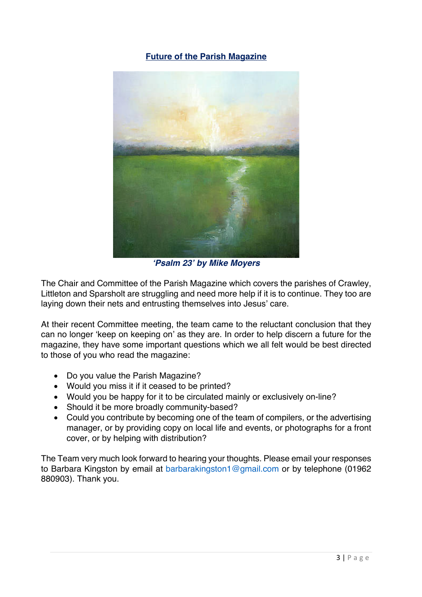## **Future of the Parish Magazine**



*'Psalm 23' by Mike Moyers*

The Chair and Committee of the Parish Magazine which covers the parishes of Crawley, Littleton and Sparsholt are struggling and need more help if it is to continue. They too are laying down their nets and entrusting themselves into Jesus' care.

At their recent Committee meeting, the team came to the reluctant conclusion that they can no longer 'keep on keeping on' as they are. In order to help discern a future for the magazine, they have some important questions which we all felt would be best directed to those of you who read the magazine:

- Do you value the Parish Magazine?
- Would you miss it if it ceased to be printed?
- Would you be happy for it to be circulated mainly or exclusively on-line?
- Should it be more broadly community-based?
- Could you contribute by becoming one of the team of compilers, or the advertising manager, or by providing copy on local life and events, or photographs for a front cover, or by helping with distribution?

The Team very much look forward to hearing your thoughts. Please email your responses to Barbara Kingston by email at barbarakingston1@gmail.com or by telephone (01962 880903). Thank you.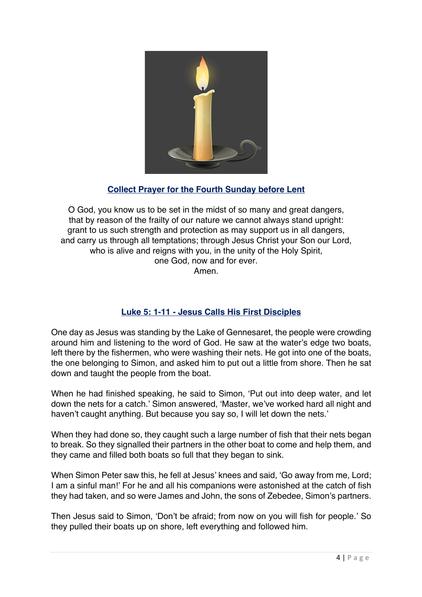

# **Collect Prayer for the Fourth Sunday before Lent**

O God, you know us to be set in the midst of so many and great dangers, that by reason of the frailty of our nature we cannot always stand upright: grant to us such strength and protection as may support us in all dangers, and carry us through all temptations; through Jesus Christ your Son our Lord, who is alive and reigns with you, in the unity of the Holy Spirit, one God, now and for ever. Amen.

## **Luke 5: 1-11 - Jesus Calls His First Disciples**

One day as Jesus was standing by the Lake of Gennesaret, the people were crowding around him and listening to the word of God. He saw at the water's edge two boats, left there by the fishermen, who were washing their nets. He got into one of the boats, the one belonging to Simon, and asked him to put out a little from shore. Then he sat down and taught the people from the boat.

When he had finished speaking, he said to Simon, 'Put out into deep water, and let down the nets for a catch.' Simon answered, 'Master, we've worked hard all night and haven't caught anything. But because you say so, I will let down the nets.'

When they had done so, they caught such a large number of fish that their nets began to break. So they signalled their partners in the other boat to come and help them, and they came and filled both boats so full that they began to sink.

When Simon Peter saw this, he fell at Jesus' knees and said, 'Go away from me, Lord; I am a sinful man!' For he and all his companions were astonished at the catch of fish they had taken, and so were James and John, the sons of Zebedee, Simon's partners.

Then Jesus said to Simon, 'Don't be afraid; from now on you will fish for people.' So they pulled their boats up on shore, left everything and followed him.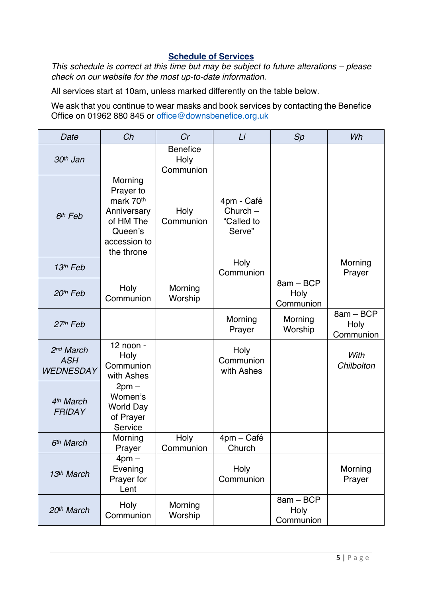### **Schedule of Services**

*This schedule is correct at this time but may be subject to future alterations – please check on our website for the most up-to-date information.*

All services start at 10am, unless marked differently on the table below.

We ask that you continue to wear masks and book services by contacting the Benefice Office on 01962 880 845 or office@downsbenefice.org.uk

| Date                                                    | Ch                                                                                                     | Cr                                   | Li                                               | Sp                               | Wh                               |
|---------------------------------------------------------|--------------------------------------------------------------------------------------------------------|--------------------------------------|--------------------------------------------------|----------------------------------|----------------------------------|
| 30 <sup>th</sup> Jan                                    |                                                                                                        | <b>Benefice</b><br>Holy<br>Communion |                                                  |                                  |                                  |
| 6 <sup>th</sup> Feb                                     | Morning<br>Prayer to<br>mark 70th<br>Anniversary<br>of HM The<br>Queen's<br>accession to<br>the throne | Holy<br>Communion                    | 4pm - Café<br>$Church -$<br>"Called to<br>Serve" |                                  |                                  |
| 13th Feb                                                |                                                                                                        |                                      | Holy<br>Communion                                |                                  | Morning<br>Prayer                |
| 20th Feb                                                | Holy<br>Communion                                                                                      | Morning<br>Worship                   |                                                  | $8am - BCP$<br>Holy<br>Communion |                                  |
| 27th Feb                                                |                                                                                                        |                                      | Morning<br>Prayer                                | Morning<br>Worship               | $8am - BCP$<br>Holy<br>Communion |
| 2 <sup>nd</sup> March<br><b>ASH</b><br><b>WEDNESDAY</b> | 12 noon -<br>Holy<br>Communion<br>with Ashes                                                           |                                      | Holy<br>Communion<br>with Ashes                  |                                  | With<br>Chilbolton               |
| 4 <sup>th</sup> March<br><b>FRIDAY</b>                  | $2pm -$<br>Women's<br><b>World Day</b><br>of Prayer<br>Service                                         |                                      |                                                  |                                  |                                  |
| 6 <sup>th</sup> March                                   | Morning<br>Prayer                                                                                      | Holy<br>Communion                    | 4pm – Café<br>Church                             |                                  |                                  |
| 13th March                                              | $4pm -$<br>Evening<br>Prayer for<br>Lent                                                               |                                      | Holy<br>Communion                                |                                  | Morning<br>Prayer                |
| 20th March                                              | Holy<br>Communion                                                                                      | Morning<br>Worship                   |                                                  | $8am - BCP$<br>Holy<br>Communion |                                  |